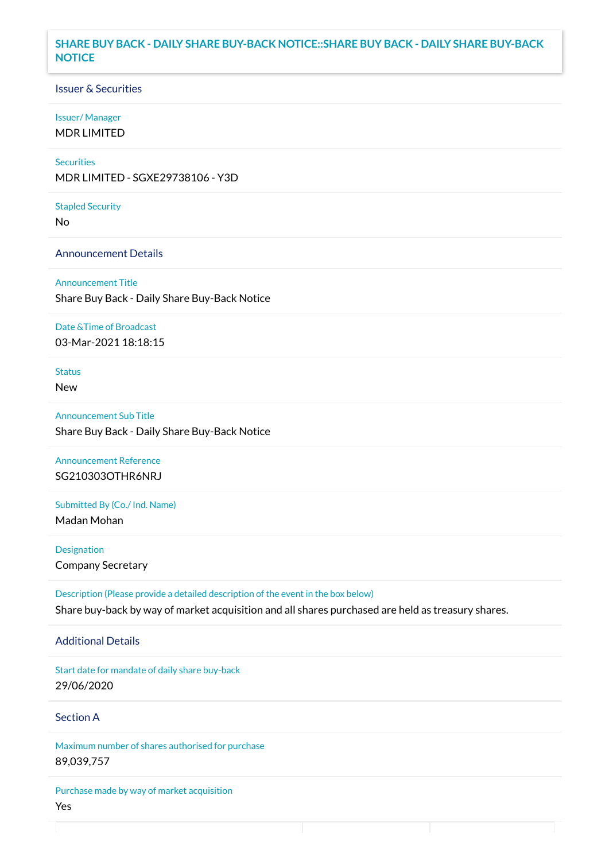## **SHARE BUY BACK - DAILY SHARE BUY-BACK NOTICE::SHARE BUY BACK - DAILY SHARE BUY-BACK NOTICE**

## Issuer & Securities

#### Issuer/ Manager

MDR LIMITED

## **Securities**

MDR LIMITED - SGXE29738106 - Y3D

#### Stapled Security

No

### Announcement Details

Announcement Title Share Buy Back - Daily Share Buy-Back Notice

#### Date &Time of Broadcast

03-Mar-2021 18:18:15

# Status

New

Announcement Sub Title Share Buy Back - Daily Share Buy-Back Notice

# Announcement Reference SG210303OTHR6NRJ

Submitted By (Co./ Ind. Name)

Madan Mohan

**Designation** Company Secretary

Description (Please provide a detailed description of the event in the box below) Share buy-back by way of market acquisition and all shares purchased are held as treasury shares.

#### Additional Details

Start date for mandate of daily share buy-back 29/06/2020

## Section A

Maximum number of shares authorised for purchase 89,039,757

Purchase made by way of market acquisition Yes